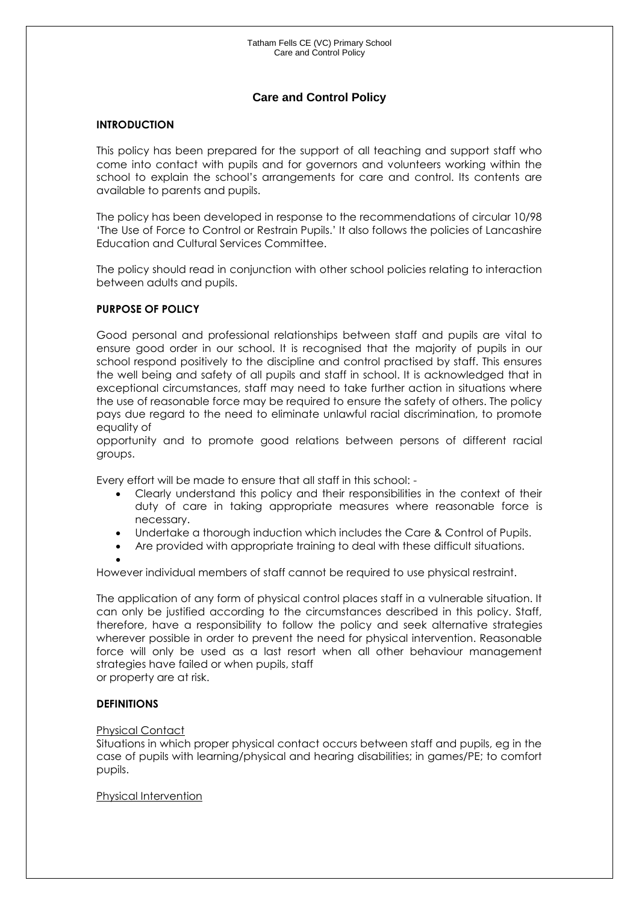# **Care and Control Policy**

#### **INTRODUCTION**

This policy has been prepared for the support of all teaching and support staff who come into contact with pupils and for governors and volunteers working within the school to explain the school's arrangements for care and control. Its contents are available to parents and pupils.

The policy has been developed in response to the recommendations of circular 10/98 'The Use of Force to Control or Restrain Pupils.' It also follows the policies of Lancashire Education and Cultural Services Committee.

The policy should read in conjunction with other school policies relating to interaction between adults and pupils.

#### **PURPOSE OF POLICY**

Good personal and professional relationships between staff and pupils are vital to ensure good order in our school. It is recognised that the majority of pupils in our school respond positively to the discipline and control practised by staff. This ensures the well being and safety of all pupils and staff in school. It is acknowledged that in exceptional circumstances, staff may need to take further action in situations where the use of reasonable force may be required to ensure the safety of others. The policy pays due regard to the need to eliminate unlawful racial discrimination, to promote equality of

opportunity and to promote good relations between persons of different racial groups.

Every effort will be made to ensure that all staff in this school: -

- Clearly understand this policy and their responsibilities in the context of their duty of care in taking appropriate measures where reasonable force is necessary.
- Undertake a thorough induction which includes the Care & Control of Pupils.
- Are provided with appropriate training to deal with these difficult situations.

 $\bullet$ 

However individual members of staff cannot be required to use physical restraint.

The application of any form of physical control places staff in a vulnerable situation. It can only be justified according to the circumstances described in this policy. Staff, therefore, have a responsibility to follow the policy and seek alternative strategies wherever possible in order to prevent the need for physical intervention. Reasonable force will only be used as a last resort when all other behaviour management strategies have failed or when pupils, staff

or property are at risk.

#### **DEFINITIONS**

#### Physical Contact

Situations in which proper physical contact occurs between staff and pupils, eg in the case of pupils with learning/physical and hearing disabilities; in games/PE; to comfort pupils.

#### Physical Intervention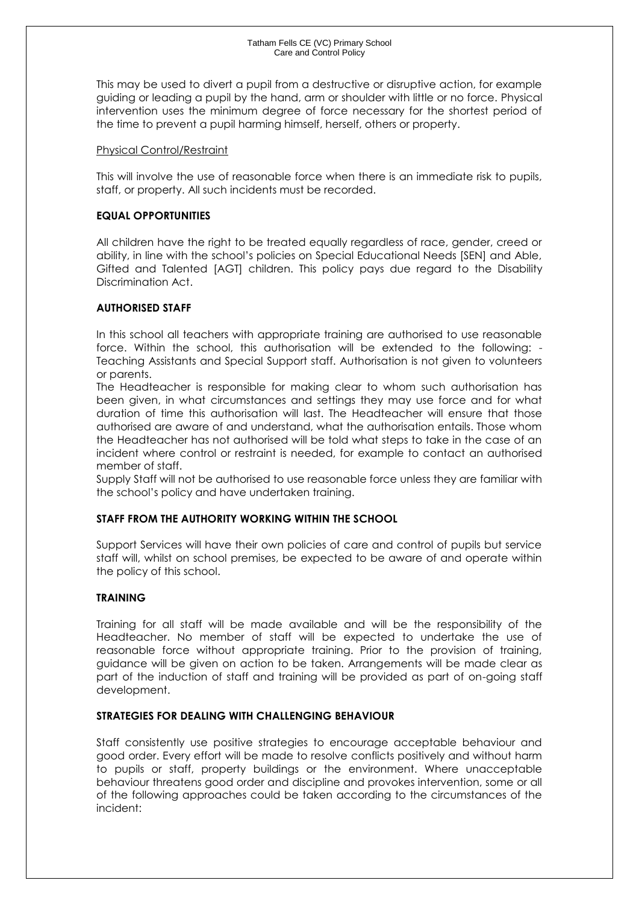This may be used to divert a pupil from a destructive or disruptive action, for example guiding or leading a pupil by the hand, arm or shoulder with little or no force. Physical intervention uses the minimum degree of force necessary for the shortest period of the time to prevent a pupil harming himself, herself, others or property.

#### Physical Control/Restraint

This will involve the use of reasonable force when there is an immediate risk to pupils, staff, or property. All such incidents must be recorded.

## **EQUAL OPPORTUNITIES**

All children have the right to be treated equally regardless of race, gender, creed or ability, in line with the school's policies on Special Educational Needs [SEN] and Able, Gifted and Talented [AGT] children. This policy pays due regard to the Disability Discrimination Act.

### **AUTHORISED STAFF**

In this school all teachers with appropriate training are authorised to use reasonable force. Within the school, this authorisation will be extended to the following: - Teaching Assistants and Special Support staff. Authorisation is not given to volunteers or parents.

The Headteacher is responsible for making clear to whom such authorisation has been given, in what circumstances and settings they may use force and for what duration of time this authorisation will last. The Headteacher will ensure that those authorised are aware of and understand, what the authorisation entails. Those whom the Headteacher has not authorised will be told what steps to take in the case of an incident where control or restraint is needed, for example to contact an authorised member of staff.

Supply Staff will not be authorised to use reasonable force unless they are familiar with the school's policy and have undertaken training.

#### **STAFF FROM THE AUTHORITY WORKING WITHIN THE SCHOOL**

Support Services will have their own policies of care and control of pupils but service staff will, whilst on school premises, be expected to be aware of and operate within the policy of this school.

#### **TRAINING**

Training for all staff will be made available and will be the responsibility of the Headteacher. No member of staff will be expected to undertake the use of reasonable force without appropriate training. Prior to the provision of training, guidance will be given on action to be taken. Arrangements will be made clear as part of the induction of staff and training will be provided as part of on-going staff development.

#### **STRATEGIES FOR DEALING WITH CHALLENGING BEHAVIOUR**

Staff consistently use positive strategies to encourage acceptable behaviour and good order. Every effort will be made to resolve conflicts positively and without harm to pupils or staff, property buildings or the environment. Where unacceptable behaviour threatens good order and discipline and provokes intervention, some or all of the following approaches could be taken according to the circumstances of the incident: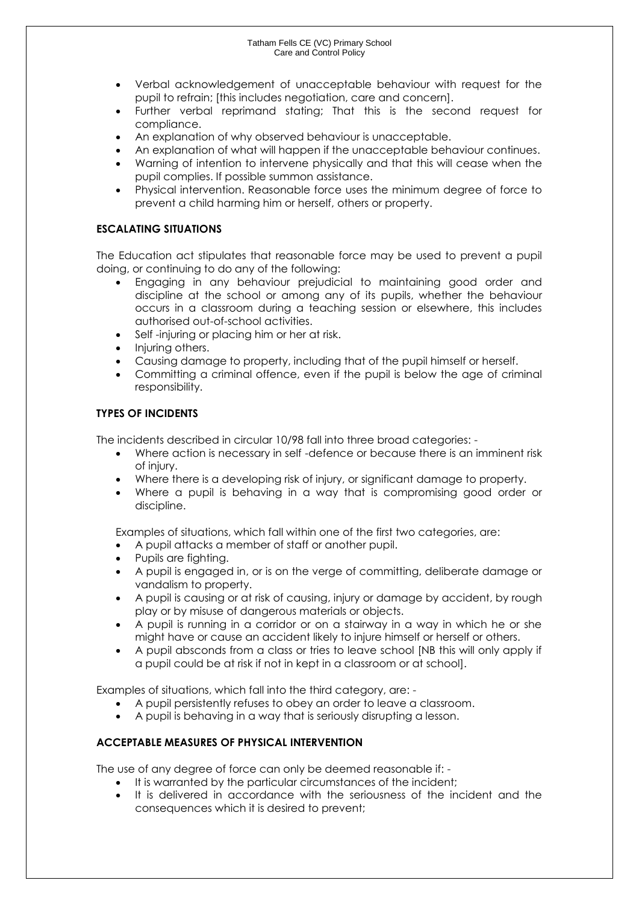- Verbal acknowledgement of unacceptable behaviour with request for the pupil to refrain; [this includes negotiation, care and concern].
- Further verbal reprimand stating; That this is the second request for compliance.
- An explanation of why observed behaviour is unacceptable.
- An explanation of what will happen if the unacceptable behaviour continues.
- Warning of intention to intervene physically and that this will cease when the pupil complies. If possible summon assistance.
- Physical intervention. Reasonable force uses the minimum degree of force to prevent a child harming him or herself, others or property.

## **ESCALATING SITUATIONS**

The Education act stipulates that reasonable force may be used to prevent a pupil doing, or continuing to do any of the following:

- Engaging in any behaviour prejudicial to maintaining good order and discipline at the school or among any of its pupils, whether the behaviour occurs in a classroom during a teaching session or elsewhere, this includes authorised out-of-school activities.
- Self -injuring or placing him or her at risk.
- Injuring others.
- Causing damage to property, including that of the pupil himself or herself.
- Committing a criminal offence, even if the pupil is below the age of criminal responsibility.

### **TYPES OF INCIDENTS**

The incidents described in circular 10/98 fall into three broad categories: -

- Where action is necessary in self -defence or because there is an imminent risk of injury.
- Where there is a developing risk of injury, or significant damage to property.
- Where a pupil is behaving in a way that is compromising good order or discipline.

Examples of situations, which fall within one of the first two categories, are:

- A pupil attacks a member of staff or another pupil.
- Pupils are fighting.
- A pupil is engaged in, or is on the verge of committing, deliberate damage or vandalism to property.
- A pupil is causing or at risk of causing, injury or damage by accident, by rough play or by misuse of dangerous materials or objects.
- A pupil is running in a corridor or on a stairway in a way in which he or she might have or cause an accident likely to injure himself or herself or others.
- A pupil absconds from a class or tries to leave school [NB this will only apply if a pupil could be at risk if not in kept in a classroom or at school].

Examples of situations, which fall into the third category, are: -

- A pupil persistently refuses to obey an order to leave a classroom.
- A pupil is behaving in a way that is seriously disrupting a lesson.

## **ACCEPTABLE MEASURES OF PHYSICAL INTERVENTION**

The use of any degree of force can only be deemed reasonable if: -

- It is warranted by the particular circumstances of the incident;
- It is delivered in accordance with the seriousness of the incident and the consequences which it is desired to prevent;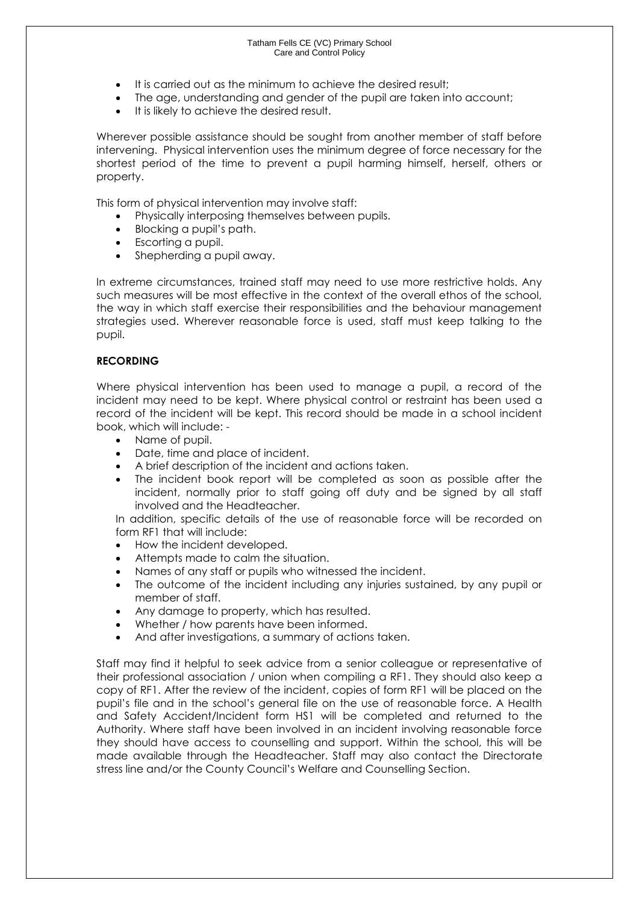- It is carried out as the minimum to achieve the desired result;
- The age, understanding and gender of the pupil are taken into account;
- It is likely to achieve the desired result.

Wherever possible assistance should be sought from another member of staff before intervening. Physical intervention uses the minimum degree of force necessary for the shortest period of the time to prevent a pupil harming himself, herself, others or property.

This form of physical intervention may involve staff:

- Physically interposing themselves between pupils.
- Blocking a pupil's path.
- Escorting a pupil.
- Shepherding a pupil away.

In extreme circumstances, trained staff may need to use more restrictive holds. Any such measures will be most effective in the context of the overall ethos of the school, the way in which staff exercise their responsibilities and the behaviour management strategies used. Wherever reasonable force is used, staff must keep talking to the pupil.

### **RECORDING**

Where physical intervention has been used to manage a pupil, a record of the incident may need to be kept. Where physical control or restraint has been used a record of the incident will be kept. This record should be made in a school incident book, which will include: -

- Name of pupil.
- Date, time and place of incident.
- A brief description of the incident and actions taken.
- The incident book report will be completed as soon as possible after the incident, normally prior to staff going off duty and be signed by all staff involved and the Headteacher.

In addition, specific details of the use of reasonable force will be recorded on form RF1 that will include:

- How the incident developed.
- Attempts made to calm the situation.
- Names of any staff or pupils who witnessed the incident.
- The outcome of the incident including any injuries sustained, by any pupil or member of staff.
- Any damage to property, which has resulted.
- Whether / how parents have been informed.
- And after investigations, a summary of actions taken.

Staff may find it helpful to seek advice from a senior colleague or representative of their professional association / union when compiling a RF1. They should also keep a copy of RF1. After the review of the incident, copies of form RF1 will be placed on the pupil's file and in the school's general file on the use of reasonable force. A Health and Safety Accident/Incident form HS1 will be completed and returned to the Authority. Where staff have been involved in an incident involving reasonable force they should have access to counselling and support. Within the school, this will be made available through the Headteacher. Staff may also contact the Directorate stress line and/or the County Council's Welfare and Counselling Section.